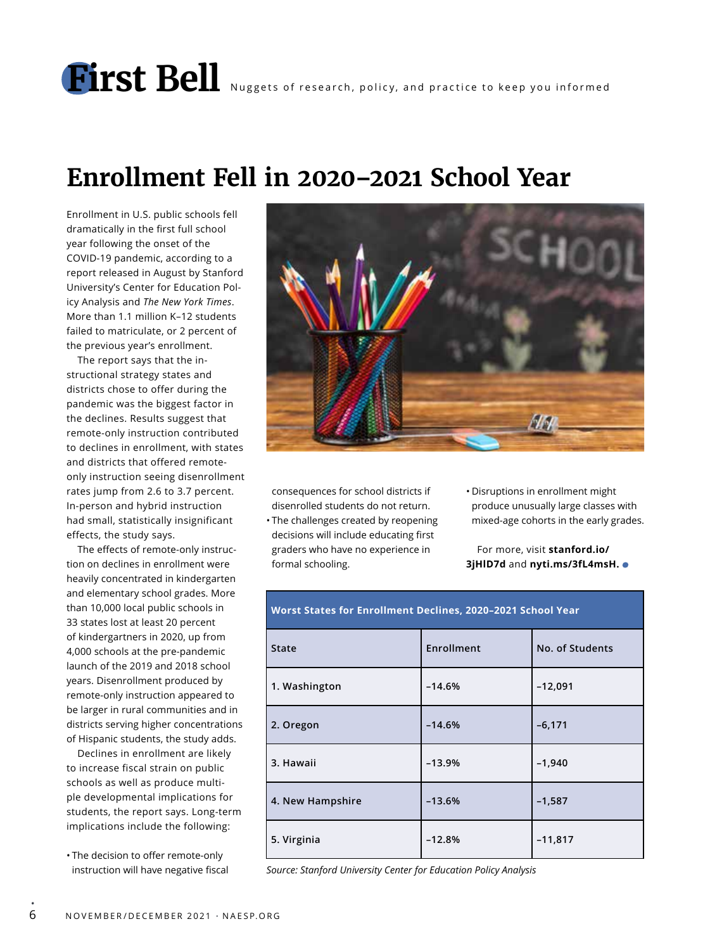# **First Bell** Nuggets of research, policy, and practice to keep you informed

# **Enrollment Fell in 2020–2021 School Year**

Enrollment in U.S. public schools fell dramatically in the first full school year following the onset of the COVID-19 pandemic, according to a report released in August by Stanford University's Center for Education Policy Analysis and *The New York Times*. More than 1.1 million K–12 students failed to matriculate, or 2 percent of the previous year's enrollment.

The report says that the instructional strategy states and districts chose to offer during the pandemic was the biggest factor in the declines. Results suggest that remote-only instruction contributed to declines in enrollment, with states and districts that offered remoteonly instruction seeing disenrollment rates jump from 2.6 to 3.7 percent. In-person and hybrid instruction had small, statistically insignificant effects, the study says.

The effects of remote-only instruction on declines in enrollment were heavily concentrated in kindergarten and elementary school grades. More than 10,000 local public schools in 33 states lost at least 20 percent of kindergartners in 2020, up from 4,000 schools at the pre-pandemic launch of the 2019 and 2018 school years. Disenrollment produced by remote-only instruction appeared to be larger in rural communities and in districts serving higher concentrations of Hispanic students, the study adds.

Declines in enrollment are likely to increase fiscal strain on public schools as well as produce multiple developmental implications for students, the report says. Long-term implications include the following:

• The decision to offer remote-only instruction will have negative fiscal

•



consequences for school districts if disenrolled students do not return.

• The challenges created by reopening decisions will include educating first graders who have no experience in formal schooling.

• Disruptions in enrollment might produce unusually large classes with mixed-age cohorts in the early grades.

For more, visit **stanford.io/ 3jHlD7d** and **nyti.ms/3fL4msH.**

| <b>State</b>     | <b>Enrollment</b> | No. of Students |
|------------------|-------------------|-----------------|
| 1. Washington    | $-14.6%$          | $-12,091$       |
| 2. Oregon        | $-14.6%$          | $-6,171$        |
| 3. Hawaii        | $-13.9%$          | $-1,940$        |
| 4. New Hampshire | $-13.6%$          | $-1,587$        |
| 5. Virginia      | $-12.8%$          | $-11,817$       |

**Worst States for Enrollment Declines, 2020–2021 School Year**

*Source: Stanford University Center for Education Policy Analysis*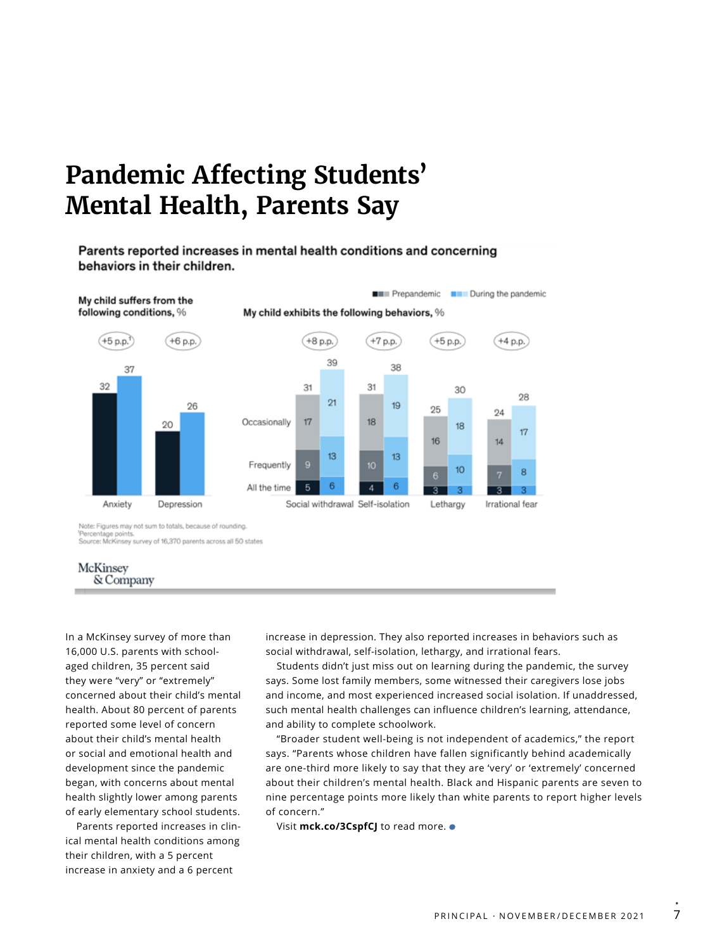# **Pandemic Affecting Students' Mental Health, Parents Say**

#### Parents reported increases in mental health conditions and concerning behaviors in their children.





In a McKinsey survey of more than 16,000 U.S. parents with schoolaged children, 35 percent said they were "very" or "extremely" concerned about their child's mental health. About 80 percent of parents reported some level of concern about their child's mental health or social and emotional health and development since the pandemic began, with concerns about mental health slightly lower among parents of early elementary school students.

Parents reported increases in clinical mental health conditions among their children, with a 5 percent increase in anxiety and a 6 percent

increase in depression. They also reported increases in behaviors such as social withdrawal, self-isolation, lethargy, and irrational fears.

Students didn't just miss out on learning during the pandemic, the survey says. Some lost family members, some witnessed their caregivers lose jobs and income, and most experienced increased social isolation. If unaddressed, such mental health challenges can influence children's learning, attendance, and ability to complete schoolwork.

"Broader student well-being is not independent of academics," the report says. "Parents whose children have fallen significantly behind academically are one-third more likely to say that they are 'very' or 'extremely' concerned about their children's mental health. Black and Hispanic parents are seven to nine percentage points more likely than white parents to report higher levels of concern."

Visit mck.co/3CspfCJ to read more.  $\bullet$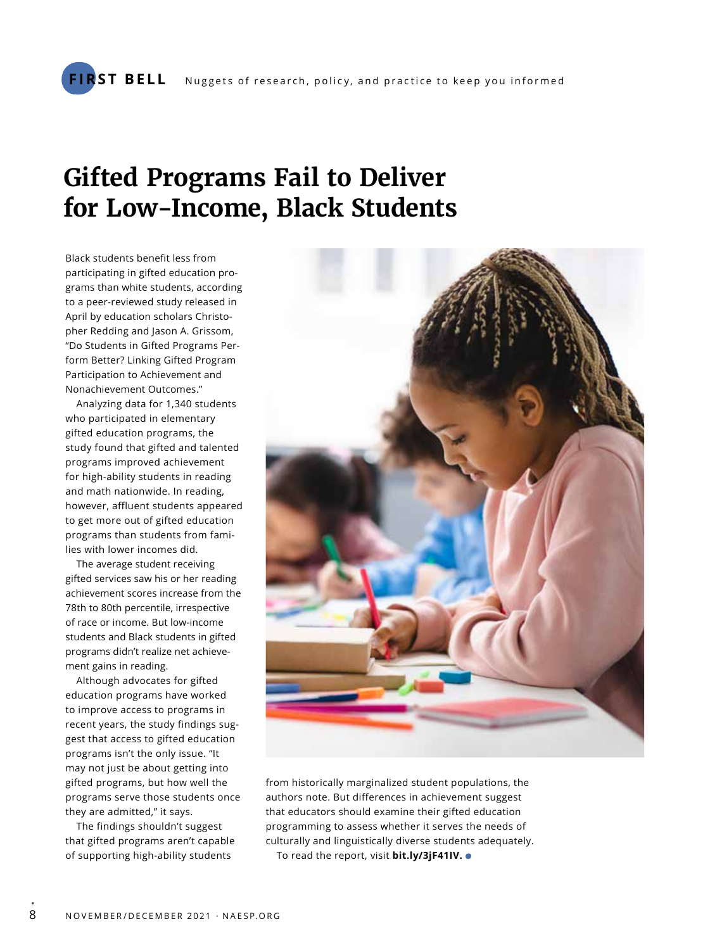# **Gifted Programs Fail to Deliver for Low-Income, Black Students**

Black students benefit less from participating in gifted education programs than white students, according to a peer-reviewed study released in April by education scholars Christopher Redding and Jason A. Grissom, "Do Students in Gifted Programs Perform Better? Linking Gifted Program Participation to Achievement and Nonachievement Outcomes."

Analyzing data for 1,340 students who participated in elementary gifted education programs, the study found that gifted and talented programs improved achievement for high-ability students in reading and math nationwide. In reading, however, affluent students appeared to get more out of gifted education programs than students from families with lower incomes did.

The average student receiving gifted services saw his or her reading achievement scores increase from the 78th to 80th percentile, irrespective of race or income. But low-income students and Black students in gifted programs didn't realize net achievement gains in reading.

Although advocates for gifted education programs have worked to improve access to programs in recent years, the study findings suggest that access to gifted education programs isn't the only issue. "It may not just be about getting into gifted programs, but how well the programs serve those students once they are admitted," it says.

The findings shouldn't suggest that gifted programs aren't capable of supporting high-ability students



from historically marginalized student populations, the authors note. But differences in achievement suggest that educators should examine their gifted education programming to assess whether it serves the needs of culturally and linguistically diverse students adequately. To read the report, visit **bit.ly/3jF41IV.** 

•